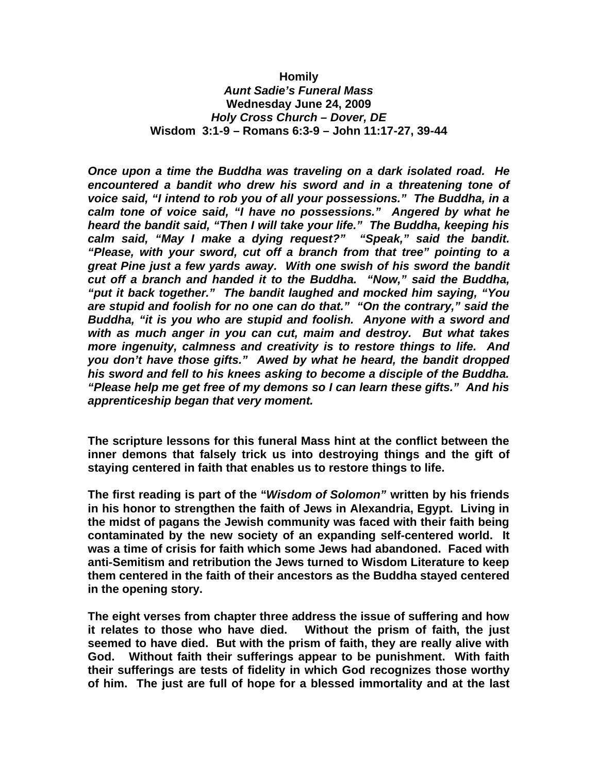## **Homily**

*Aunt Sadie's Funeral Mass* **Wednesday June 24, 2009** *Holy Cross Church – Dover, DE* **Wisdom 3:1-9 – Romans 6:3-9 – John 11:17-27, 39-44**

*Once upon a time the Buddha was traveling on a dark isolated road. He encountered a bandit who drew his sword and in a threatening tone of voice said, "I intend to rob you of all your possessions." The Buddha, in a calm tone of voice said, "I have no possessions." Angered by what he heard the bandit said, "Then I will take your life." The Buddha, keeping his calm said, "May I make a dying request?" "Speak," said the bandit. "Please, with your sword, cut off a branch from that tree" pointing to a great Pine just a few yards away. With one swish of his sword the bandit cut off a branch and handed it to the Buddha. "Now," said the Buddha, "put it back together." The bandit laughed and mocked him saying, "You are stupid and foolish for no one can do that." "On the contrary," said the Buddha, "it is you who are stupid and foolish. Anyone with a sword and with as much anger in you can cut, maim and destroy. But what takes more ingenuity, calmness and creativity is to restore things to life. And you don't have those gifts." Awed by what he heard, the bandit dropped his sword and fell to his knees asking to become a disciple of the Buddha. "Please help me get free of my demons so I can learn these gifts." And his apprenticeship began that very moment.*

**The scripture lessons for this funeral Mass hint at the conflict between the inner demons that falsely trick us into destroying things and the gift of staying centered in faith that enables us to restore things to life.**

**The first reading is part of the "***Wisdom of Solomon"* **written by his friends in his honor to strengthen the faith of Jews in Alexandria, Egypt. Living in the midst of pagans the Jewish community was faced with their faith being contaminated by the new society of an expanding self-centered world. It was a time of crisis for faith which some Jews had abandoned. Faced with anti-Semitism and retribution the Jews turned to Wisdom Literature to keep them centered in the faith of their ancestors as the Buddha stayed centered in the opening story.** 

**The eight verses from chapter three address the issue of suffering and how it relates to those who have died. Without the prism of faith, the just seemed to have died. But with the prism of faith, they are really alive with God. Without faith their sufferings appear to be punishment. With faith their sufferings are tests of fidelity in which God recognizes those worthy of him. The just are full of hope for a blessed immortality and at the last**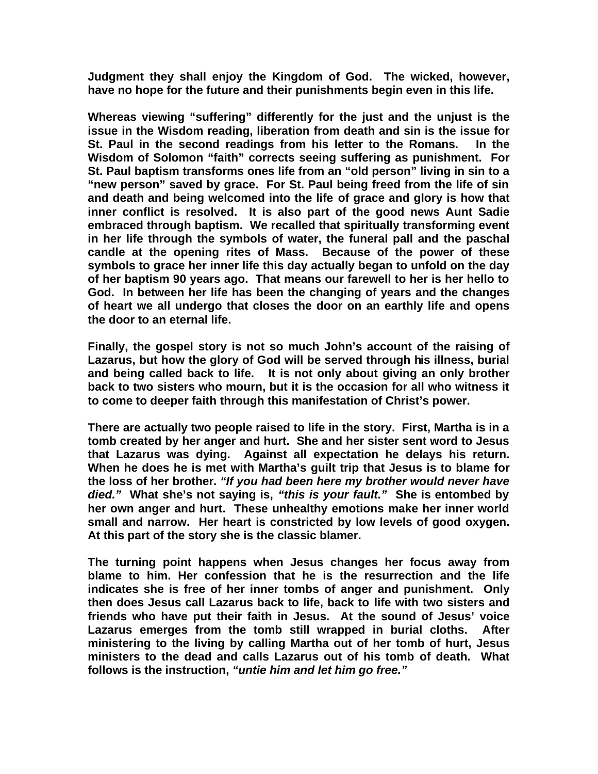**Judgment they shall enjoy the Kingdom of God. The wicked, however, have no hope for the future and their punishments begin even in this life.** 

**Whereas viewing "suffering" differently for the just and the unjust is the issue in the Wisdom reading, liberation from death and sin is the issue for St. Paul in the second readings from his letter to the Romans. In the Wisdom of Solomon "faith" corrects seeing suffering as punishment. For St. Paul baptism transforms ones life from an "old person" living in sin to a "new person" saved by grace. For St. Paul being freed from the life of sin and death and being welcomed into the life of grace and glory is how that inner conflict is resolved. It is also part of the good news Aunt Sadie embraced through baptism. We recalled that spiritually transforming event in her life through the symbols of water, the funeral pall and the paschal candle at the opening rites of Mass. Because of the power of these symbols to grace her inner life this day actually began to unfold on the day of her baptism 90 years ago. That means our farewell to her is her hello to God. In between her life has been the changing of years and the changes of heart we all undergo that closes the door on an earthly life and opens the door to an eternal life.** 

**Finally, the gospel story is not so much John's account of the raising of Lazarus, but how the glory of God will be served through his illness, burial and being called back to life. It is not only about giving an only brother back to two sisters who mourn, but it is the occasion for all who witness it to come to deeper faith through this manifestation of Christ's power.** 

**There are actually two people raised to life in the story. First, Martha is in a tomb created by her anger and hurt. She and her sister sent word to Jesus that Lazarus was dying. Against all expectation he delays his return. When he does he is met with Martha's guilt trip that Jesus is to blame for the loss of her brother.** *"If you had been here my brother would never have died."* **What she's not saying is,** *"this is your fault."* **She is entombed by her own anger and hurt. These unhealthy emotions make her inner world small and narrow. Her heart is constricted by low levels of good oxygen. At this part of the story she is the classic blamer.** 

**The turning point happens when Jesus changes her focus away from blame to him. Her confession that he is the resurrection and the life indicates she is free of her inner tombs of anger and punishment. Only then does Jesus call Lazarus back to life, back to life with two sisters and friends who have put their faith in Jesus. At the sound of Jesus' voice Lazarus emerges from the tomb still wrapped in burial cloths. After ministering to the living by calling Martha out of her tomb of hurt, Jesus ministers to the dead and calls Lazarus out of his tomb of death. What follows is the instruction,** *"untie him and let him go free."*